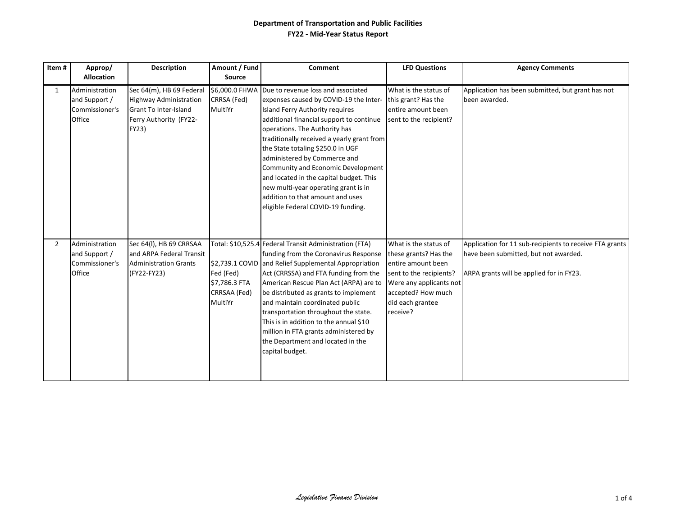| Item#          | Approp/<br><b>Allocation</b>                                | <b>Description</b>                                                                                                           | Amount / Fund<br>Source                                                  | <b>Comment</b>                                                                                                                                                                                                                                                                                                                                                                                                                                                                                                     | <b>LFD Questions</b>                                                                                                                                                             | <b>Agency Comments</b>                                                                                                                       |
|----------------|-------------------------------------------------------------|------------------------------------------------------------------------------------------------------------------------------|--------------------------------------------------------------------------|--------------------------------------------------------------------------------------------------------------------------------------------------------------------------------------------------------------------------------------------------------------------------------------------------------------------------------------------------------------------------------------------------------------------------------------------------------------------------------------------------------------------|----------------------------------------------------------------------------------------------------------------------------------------------------------------------------------|----------------------------------------------------------------------------------------------------------------------------------------------|
| $\mathbf{1}$   | Administration<br>and Support /<br>Commissioner's<br>Office | Sec 64(m), HB 69 Federal<br><b>Highway Administration</b><br><b>Grant To Inter-Island</b><br>Ferry Authority (FY22-<br>FY23) | \$6,000.0 FHWA<br>CRRSA (Fed)<br>MultiYr                                 | Due to revenue loss and associated<br>expenses caused by COVID-19 the Inter-<br>Island Ferry Authority requires<br>additional financial support to continue<br>operations. The Authority has<br>traditionally received a yearly grant from<br>the State totaling \$250.0 in UGF<br>administered by Commerce and<br>Community and Economic Development<br>and located in the capital budget. This<br>new multi-year operating grant is in<br>addition to that amount and uses<br>eligible Federal COVID-19 funding. | What is the status of<br>this grant? Has the<br>entire amount been<br>sent to the recipient?                                                                                     | Application has been submitted, but grant has not<br>been awarded.                                                                           |
| $\overline{2}$ | Administration<br>and Support /<br>Commissioner's<br>Office | Sec 64(I), HB 69 CRRSAA<br>and ARPA Federal Transit<br><b>Administration Grants</b><br>(FY22-FY23)                           | \$2,739.1 COVID<br>Fed (Fed)<br>\$7,786.3 FTA<br>CRRSAA (Fed)<br>MultiYr | Total: \$10,525.4 Federal Transit Administration (FTA)<br>funding from the Coronavirus Response<br>and Relief Supplemental Appropriation<br>Act (CRRSSA) and FTA funding from the<br>American Rescue Plan Act (ARPA) are to<br>be distributed as grants to implement<br>and maintain coordinated public<br>transportation throughout the state.<br>This is in addition to the annual \$10<br>million in FTA grants administered by<br>the Department and located in the<br>capital budget.                         | What is the status of<br>these grants? Has the<br>entire amount been<br>sent to the recipients?<br>Were any applicants not<br>accepted? How much<br>did each grantee<br>receive? | Application for 11 sub-recipients to receive FTA grants<br>have been submitted, but not awarded.<br>ARPA grants will be applied for in FY23. |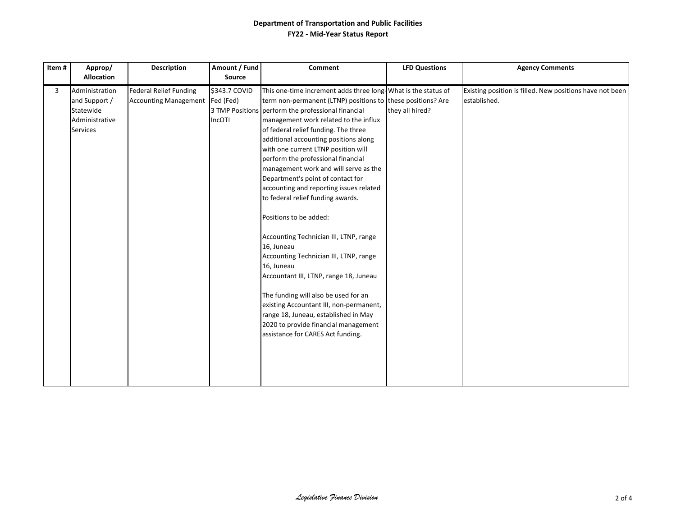| Item# | Approp/<br><b>Allocation</b>                                               | <b>Description</b>                                               | Amount / Fund<br>Source | <b>Comment</b>                                                                                                                                                                                                                                                                                                                                                                                                                                                                                                                                                                                                                                                                                                                                                                                                                                                                                                                                      | <b>LFD Questions</b> | <b>Agency Comments</b>                                                   |
|-------|----------------------------------------------------------------------------|------------------------------------------------------------------|-------------------------|-----------------------------------------------------------------------------------------------------------------------------------------------------------------------------------------------------------------------------------------------------------------------------------------------------------------------------------------------------------------------------------------------------------------------------------------------------------------------------------------------------------------------------------------------------------------------------------------------------------------------------------------------------------------------------------------------------------------------------------------------------------------------------------------------------------------------------------------------------------------------------------------------------------------------------------------------------|----------------------|--------------------------------------------------------------------------|
|       |                                                                            |                                                                  |                         |                                                                                                                                                                                                                                                                                                                                                                                                                                                                                                                                                                                                                                                                                                                                                                                                                                                                                                                                                     |                      |                                                                          |
| 3     | Administration<br>and Support /<br>Statewide<br>Administrative<br>Services | <b>Federal Relief Funding</b><br>Accounting Management Fed (Fed) | \$343.7 COVID<br>IncOTI | This one-time increment adds three long-What is the status of<br>term non-permanent (LTNP) positions to these positions? Are<br>3 TMP Positions perform the professional financial<br>management work related to the influx<br>of federal relief funding. The three<br>additional accounting positions along<br>with one current LTNP position will<br>perform the professional financial<br>management work and will serve as the<br>Department's point of contact for<br>accounting and reporting issues related<br>to federal relief funding awards.<br>Positions to be added:<br>Accounting Technician III, LTNP, range<br>16, Juneau<br>Accounting Technician III, LTNP, range<br>16, Juneau<br>Accountant III, LTNP, range 18, Juneau<br>The funding will also be used for an<br>existing Accountant III, non-permanent,<br>range 18, Juneau, established in May<br>2020 to provide financial management<br>assistance for CARES Act funding. | they all hired?      | Existing position is filled. New positions have not been<br>established. |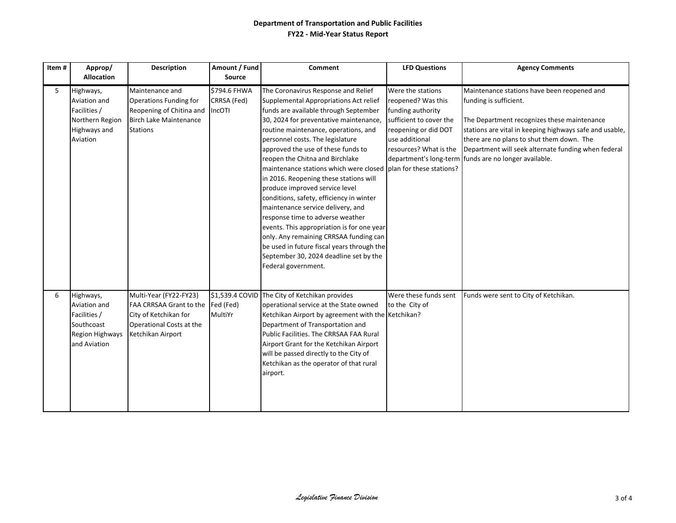| Item# | Approp/                                                                                    | Description                                                                                                                      | Amount / Fund                         | <b>Comment</b>                                                                                                                                                                                                                                                                                                                                                                                                                                                                                                                                                                                                                                                                                                                                                                                   | <b>LFD Questions</b>                                                                                                                                        | <b>Agency Comments</b>                                                                                                                                                                                                                                                                                                                       |
|-------|--------------------------------------------------------------------------------------------|----------------------------------------------------------------------------------------------------------------------------------|---------------------------------------|--------------------------------------------------------------------------------------------------------------------------------------------------------------------------------------------------------------------------------------------------------------------------------------------------------------------------------------------------------------------------------------------------------------------------------------------------------------------------------------------------------------------------------------------------------------------------------------------------------------------------------------------------------------------------------------------------------------------------------------------------------------------------------------------------|-------------------------------------------------------------------------------------------------------------------------------------------------------------|----------------------------------------------------------------------------------------------------------------------------------------------------------------------------------------------------------------------------------------------------------------------------------------------------------------------------------------------|
|       | <b>Allocation</b>                                                                          |                                                                                                                                  | <b>Source</b>                         |                                                                                                                                                                                                                                                                                                                                                                                                                                                                                                                                                                                                                                                                                                                                                                                                  |                                                                                                                                                             |                                                                                                                                                                                                                                                                                                                                              |
| 5     | Highways,<br>Aviation and<br>Facilities /<br>Northern Region<br>Highways and<br>Aviation   | Maintenance and<br><b>Operations Funding for</b><br>Reopening of Chitina and<br><b>Birch Lake Maintenance</b><br><b>Stations</b> | \$794.6 FHWA<br>CRRSA (Fed)<br>IncOTI | The Coronavirus Response and Relief<br>Supplemental Appropriations Act relief<br>funds are available through September<br>30, 2024 for preventative maintenance,<br>routine maintenance, operations, and<br>personnel costs. The legislature<br>approved the use of these funds to<br>reopen the Chitna and Birchlake<br>maintenance stations which were closed plan for these stations?<br>in 2016. Reopening these stations will<br>produce improved service level<br>conditions, safety, efficiency in winter<br>maintenance service delivery, and<br>response time to adverse weather<br>events. This appropriation is for one year<br>only. Any remaining CRRSAA funding can<br>be used in future fiscal years through the<br>September 30, 2024 deadline set by the<br>Federal government. | Were the stations<br>reopened? Was this<br>funding authority<br>sufficient to cover the<br>reopening or did DOT<br>use additional<br>resources? What is the | Maintenance stations have been reopened and<br>funding is sufficient.<br>The Department recognizes these maintenance<br>stations are vital in keeping highways safe and usable,<br>there are no plans to shut them down. The<br>Department will seek alternate funding when federal<br>department's long-term funds are no longer available. |
| 6     | Highways,<br>Aviation and<br>Facilities /<br>Southcoast<br>Region Highways<br>and Aviation | Multi-Year (FY22-FY23)<br>FAA CRRSAA Grant to the<br>City of Ketchikan for<br>Operational Costs at the<br>Ketchikan Airport      | Fed (Fed)<br>MultiYr                  | \$1,539.4 COVID The City of Ketchikan provides<br>operational service at the State owned<br>Ketchikan Airport by agreement with the Ketchikan?<br>Department of Transportation and<br>Public Facilities. The CRRSAA FAA Rural<br>Airport Grant for the Ketchikan Airport<br>will be passed directly to the City of<br>Ketchikan as the operator of that rural<br>airport.                                                                                                                                                                                                                                                                                                                                                                                                                        | Were these funds sent<br>to the City of                                                                                                                     | Funds were sent to City of Ketchikan.                                                                                                                                                                                                                                                                                                        |